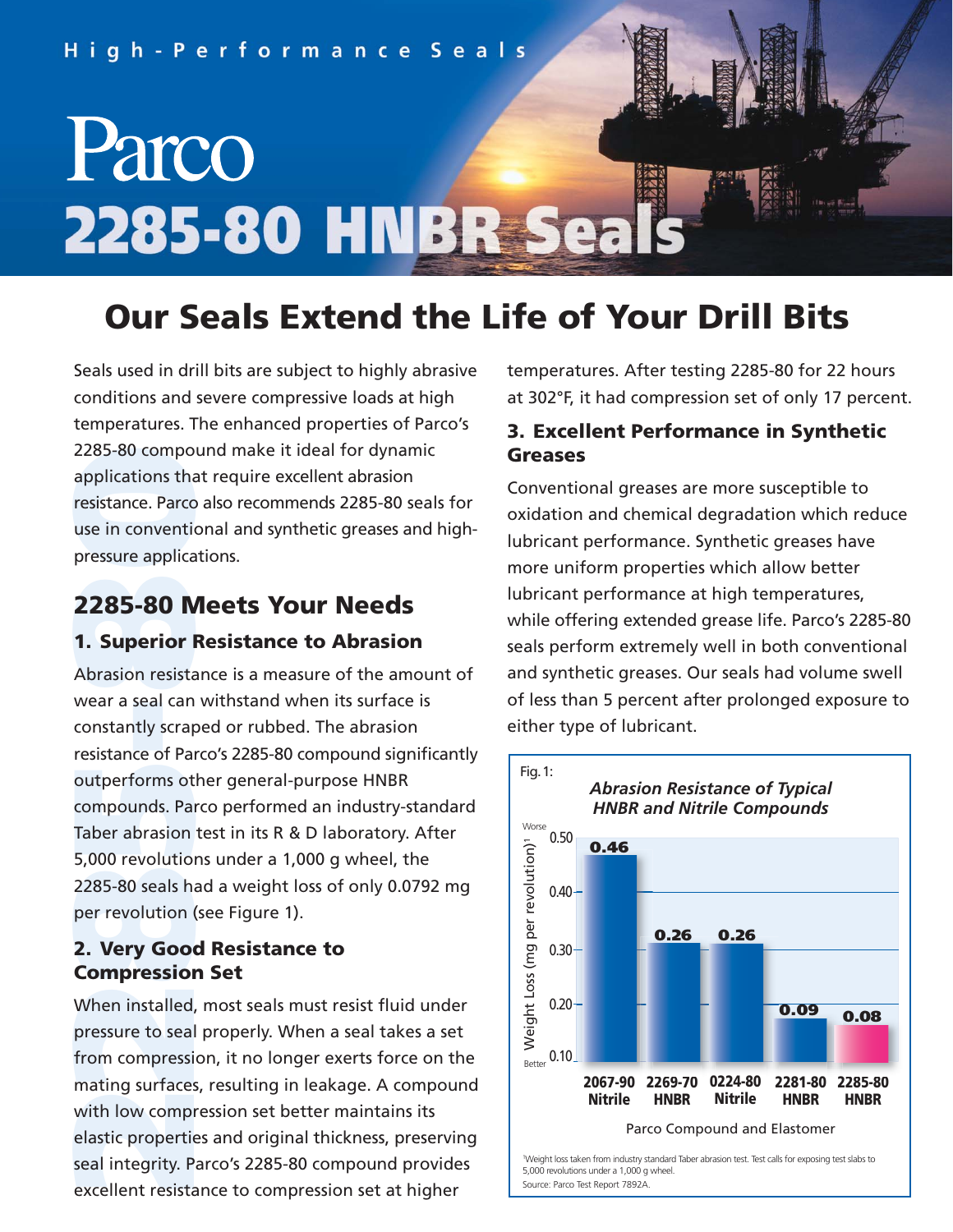

# **Our Seals Extend the Life of Your Drill Bits**

Seals used in drill bits are subject to highly abrasive conditions and severe compressive loads at high temperatures. The enhanced properties of Parco's 2285-80 compound make it ideal for dynamic applications that require excellent abrasion resistance. Parco also recommends 2285-80 seals for use in conventional and synthetic greases and highpressure applications.

## **2285-80 Meets Your Needs**

#### **1. Superior Resistance to Abrasion**

2285-80 compo<br>applications tha<br>resistance. Parco<br>use in conventia<br>pressure applica<br>**2285-80 N**<br>1. Superior I<br>Abrasion resista<br>wear a seal can<br>constantly scrap<br>resistance of Par<br>outperforms ot<br>compounds. Par<br>Taber abrasion<br> Abrasion resistance is a measure of the amount of wear a seal can withstand when its surface is constantly scraped or rubbed. The abrasion resistance of Parco's 2285-80 compound significantly outperforms other general-purpose HNBR compounds. Parco performed an industry-standard Taber abrasion test in its R & D laboratory. After 5,000 revolutions under a 1,000 g wheel, the 2285-80 seals had a weight loss of only 0.0792 mg per revolution (see Figure 1).

#### **2. Very Good Resistance to Compression Set**

When installed, most seals must resist fluid under pressure to seal properly. When a seal takes a set from compression, it no longer exerts force on the mating surfaces, resulting in leakage. A compound with low compression set better maintains its elastic properties and original thickness, preserving seal integrity. Parco's 2285-80 compound provides excellent resistance to compression set at higher

temperatures. After testing 2285-80 for 22 hours at 302°F, it had compression set of only 17 percent.

#### **3. Excellent Performance in Synthetic Greases**

Conventional greases are more susceptible to oxidation and chemical degradation which reduce lubricant performance. Synthetic greases have more uniform properties which allow better lubricant performance at high temperatures, while offering extended grease life. Parco's 2285-80 seals perform extremely well in both conventional and synthetic greases. Our seals had volume swell of less than 5 percent after prolonged exposure to either type of lubricant.



5,000 revolutions under a 1,000 g wheel. Source: Parco Test Report 7892A.